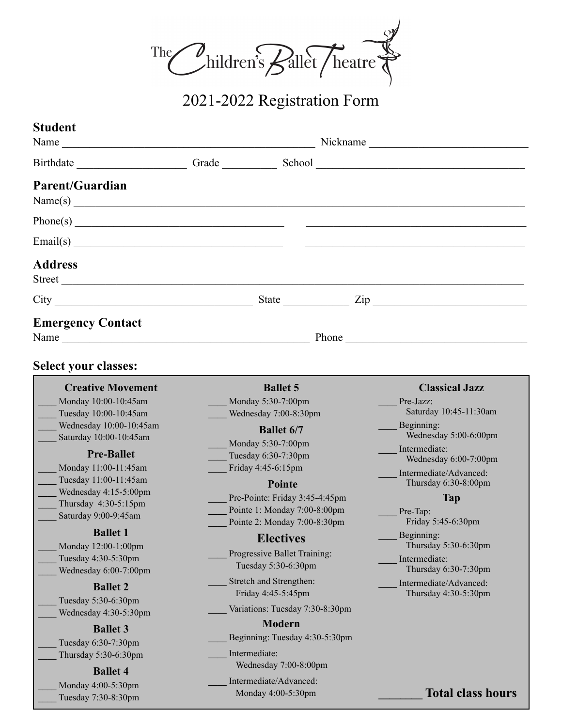

2021-2022 Registration Form

| <b>Student</b>                                                                                                                                                                                                                                                                                                                                                                                                                                                                                                                                        |                                                                                                                                                                                                                                                                                                                                                                                                                                                                                                                                                          |                                                                                                                                                                                                                                                                                                                                                                              |
|-------------------------------------------------------------------------------------------------------------------------------------------------------------------------------------------------------------------------------------------------------------------------------------------------------------------------------------------------------------------------------------------------------------------------------------------------------------------------------------------------------------------------------------------------------|----------------------------------------------------------------------------------------------------------------------------------------------------------------------------------------------------------------------------------------------------------------------------------------------------------------------------------------------------------------------------------------------------------------------------------------------------------------------------------------------------------------------------------------------------------|------------------------------------------------------------------------------------------------------------------------------------------------------------------------------------------------------------------------------------------------------------------------------------------------------------------------------------------------------------------------------|
| Name $\frac{1}{\sqrt{1-\frac{1}{2}}\sqrt{1-\frac{1}{2}}\left(\frac{1}{2}-\frac{1}{2}\right)}$                                                                                                                                                                                                                                                                                                                                                                                                                                                         |                                                                                                                                                                                                                                                                                                                                                                                                                                                                                                                                                          | Nickname                                                                                                                                                                                                                                                                                                                                                                     |
|                                                                                                                                                                                                                                                                                                                                                                                                                                                                                                                                                       |                                                                                                                                                                                                                                                                                                                                                                                                                                                                                                                                                          |                                                                                                                                                                                                                                                                                                                                                                              |
| <b>Parent/Guardian</b>                                                                                                                                                                                                                                                                                                                                                                                                                                                                                                                                | Name(s)                                                                                                                                                                                                                                                                                                                                                                                                                                                                                                                                                  |                                                                                                                                                                                                                                                                                                                                                                              |
|                                                                                                                                                                                                                                                                                                                                                                                                                                                                                                                                                       |                                                                                                                                                                                                                                                                                                                                                                                                                                                                                                                                                          |                                                                                                                                                                                                                                                                                                                                                                              |
| $\text{Email(s)}$                                                                                                                                                                                                                                                                                                                                                                                                                                                                                                                                     |                                                                                                                                                                                                                                                                                                                                                                                                                                                                                                                                                          | <u> 1989 - Andrea Station Andrea Station (1989)</u>                                                                                                                                                                                                                                                                                                                          |
| <b>Address</b>                                                                                                                                                                                                                                                                                                                                                                                                                                                                                                                                        |                                                                                                                                                                                                                                                                                                                                                                                                                                                                                                                                                          |                                                                                                                                                                                                                                                                                                                                                                              |
|                                                                                                                                                                                                                                                                                                                                                                                                                                                                                                                                                       |                                                                                                                                                                                                                                                                                                                                                                                                                                                                                                                                                          | $City$ $City$ $Size$ $Type$                                                                                                                                                                                                                                                                                                                                                  |
| <b>Emergency Contact</b><br>Name                                                                                                                                                                                                                                                                                                                                                                                                                                                                                                                      |                                                                                                                                                                                                                                                                                                                                                                                                                                                                                                                                                          | Phone                                                                                                                                                                                                                                                                                                                                                                        |
| <b>Select your classes:</b>                                                                                                                                                                                                                                                                                                                                                                                                                                                                                                                           |                                                                                                                                                                                                                                                                                                                                                                                                                                                                                                                                                          |                                                                                                                                                                                                                                                                                                                                                                              |
| <b>Creative Movement</b><br>Monday 10:00-10:45am<br>Tuesday 10:00-10:45am<br>Wednesday 10:00-10:45am<br>Saturday 10:00-10:45am<br><b>Pre-Ballet</b><br>Monday 11:00-11:45am<br>Tuesday 11:00-11:45am<br>Wednesday 4:15-5:00pm<br>Thursday 4:30-5:15pm<br>Saturday 9:00-9:45am<br><b>Ballet 1</b><br>Monday 12:00-1:00pm<br>Tuesday 4:30-5:30pm<br>Wednesday 6:00-7:00pm<br><b>Ballet 2</b><br>Tuesday 5:30-6:30pm<br>Wednesday 4:30-5:30pm<br><b>Ballet 3</b><br>Tuesday 6:30-7:30pm<br>Thursday 5:30-6:30pm<br><b>Ballet 4</b><br>Monday 4:00-5:30pm | <b>Ballet 5</b><br>Monday 5:30-7:00pm<br>Wednesday 7:00-8:30pm<br><b>Ballet 6/7</b><br>Monday 5:30-7:00pm<br>Tuesday 6:30-7:30pm<br>Friday 4:45-6:15pm<br>Pointe<br>Pre-Pointe: Friday 3:45-4:45pm<br>Pointe 1: Monday 7:00-8:00pm<br>Pointe 2: Monday 7:00-8:30pm<br><b>Electives</b><br>Progressive Ballet Training:<br>Tuesday 5:30-6:30pm<br>Stretch and Strengthen:<br>Friday 4:45-5:45pm<br>Variations: Tuesday 7:30-8:30pm<br><b>Modern</b><br>Beginning: Tuesday 4:30-5:30pm<br>Intermediate:<br>Wednesday 7:00-8:00pm<br>Intermediate/Advanced: | <b>Classical Jazz</b><br>Pre-Jazz:<br>Saturday 10:45-11:30am<br>Beginning:<br>Wednesday 5:00-6:00pm<br>Intermediate:<br>Wednesday 6:00-7:00pm<br>Intermediate/Advanced:<br>Thursday $6:30-8:00$ pm<br>Tap<br>Pre-Tap:<br>Friday 5:45-6:30pm<br>Beginning:<br>Thursday 5:30-6:30pm<br>Intermediate:<br>Thursday 6:30-7:30pm<br>Intermediate/Advanced:<br>Thursday 4:30-5:30pm |
| Tuesday 7:30-8:30pm                                                                                                                                                                                                                                                                                                                                                                                                                                                                                                                                   | Monday 4:00-5:30pm                                                                                                                                                                                                                                                                                                                                                                                                                                                                                                                                       | <b>Total class hours</b>                                                                                                                                                                                                                                                                                                                                                     |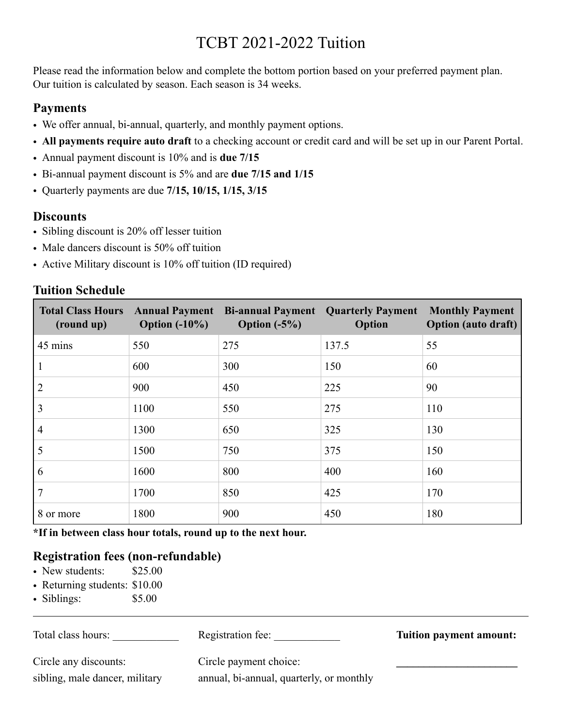# TCBT 2021-2022 Tuition

Please read the information below and complete the bottom portion based on your preferred payment plan. Our tuition is calculated by season. Each season is 34 weeks.

### **Payments**

- We offer annual, bi-annual, quarterly, and monthly payment options.
- **All payments require auto draft** to a checking account or credit card and will be set up in our Parent Portal.
- Annual payment discount is 10% and is **due 7/15**
- Bi-annual payment discount is 5% and are **due 7/15 and 1/15**
- Quarterly payments are due **7/15, 10/15, 1/15, 3/15**

## **Discounts**

- Sibling discount is 20% off lesser tuition
- Male dancers discount is 50% off tuition
- Active Military discount is 10% off tuition (ID required)

## **Tuition Schedule**

| <b>Total Class Hours</b><br>(round up) | Option $(-10\%)$ | <b>Annual Payment Bi-annual Payment Quarterly Payment</b><br>Option $(-5%)$ | Option | <b>Monthly Payment</b><br><b>Option</b> (auto draft) |
|----------------------------------------|------------------|-----------------------------------------------------------------------------|--------|------------------------------------------------------|
| 45 mins                                | 550              | 275                                                                         | 137.5  | 55                                                   |
|                                        | 600              | 300                                                                         | 150    | 60                                                   |
| 2                                      | 900              | 450                                                                         | 225    | 90                                                   |
| 3                                      | 1100             | 550                                                                         | 275    | 110                                                  |
| $\overline{4}$                         | 1300             | 650                                                                         | 325    | 130                                                  |
| 5                                      | 1500             | 750                                                                         | 375    | 150                                                  |
| 6                                      | 1600             | 800                                                                         | 400    | 160                                                  |
| 7                                      | 1700             | 850                                                                         | 425    | 170                                                  |
| 8 or more                              | 1800             | 900                                                                         | 450    | 180                                                  |

**\*If in between class hour totals, round up to the next hour.** 

# **Registration fees (non-refundable)**

- New students: \$25.00
- Returning students: \$10.00
- Siblings: \$5.00

| Total class hours:             | Registration fee:                        | <b>Tuition payment amount:</b> |
|--------------------------------|------------------------------------------|--------------------------------|
| Circle any discounts:          | Circle payment choice:                   |                                |
| sibling, male dancer, military | annual, bi-annual, quarterly, or monthly |                                |